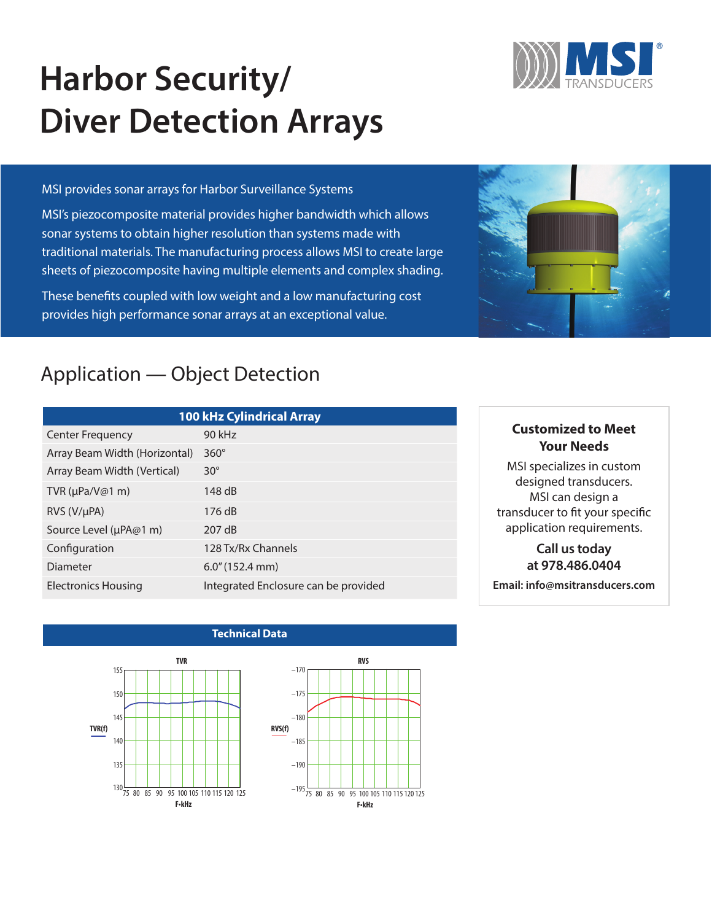# **Harbor Security/ Diver Detection Arrays**

#### MSI provides sonar arrays for Harbor Surveillance Systems

MSI's piezocomposite material provides higher bandwidth which allows sonar systems to obtain higher resolution than systems made with traditional materials. The manufacturing process allows MSI to create large sheets of piezocomposite having multiple elements and complex shading.

These benefits coupled with low weight and a low manufacturing cost provides high performance sonar arrays at an exceptional value.

# Application — Object Detection

| <b>100 kHz Cylindrical Array</b> |                                      |  |
|----------------------------------|--------------------------------------|--|
| Center Frequency                 | 90 kHz                               |  |
| Array Beam Width (Horizontal)    | $360^\circ$                          |  |
| Array Beam Width (Vertical)      | $30^\circ$                           |  |
| TVR ( $\mu$ Pa/V@1 m)            | 148 dB                               |  |
| $RVS (V/\mu PA)$                 | 176 dB                               |  |
| Source Level (µPA@1 m)           | 207 dB                               |  |
| Configuration                    | 128 Tx/Rx Channels                   |  |
| Diameter                         | $6.0$ " (152.4 mm)                   |  |
| <b>Electronics Housing</b>       | Integrated Enclosure can be provided |  |

# **Customized to Meet Your Needs**

MSI specializes in custom designed transducers. MSI can design a transducer to fit your specific application requirements.

# **Call us today at 978.486.0404**

**Email: info@msitransducers.com**

### **Technical Data**





**RVS**